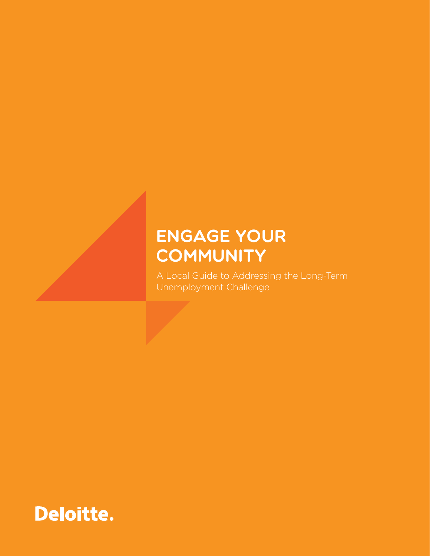# Engage Your **COMMUNITY**

A Local Guide to Addressing the Long-Term Unemployment Challenge

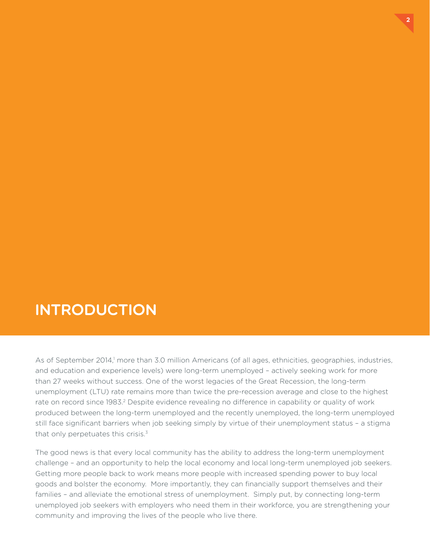## **INTRODUCTION**

As of September 2014,<sup>1</sup> more than 3.0 million Americans (of all ages, ethnicities, geographies, industries, and education and experience levels) were long-term unemployed – actively seeking work for more than 27 weeks without success. One of the worst legacies of the Great Recession, the long-term unemployment (LTU) rate remains more than twice the pre-recession average and close to the highest rate on record since 1983.<sup>2</sup> Despite evidence revealing no difference in capability or quality of work produced between the long-term unemployed and the recently unemployed, the long-term unemployed still face significant barriers when job seeking simply by virtue of their unemployment status – a stigma that only perpetuates this crisis.<sup>3</sup>

The good news is that every local community has the ability to address the long-term unemployment challenge – and an opportunity to help the local economy and local long-term unemployed job seekers. Getting more people back to work means more people with increased spending power to buy local goods and bolster the economy. More importantly, they can financially support themselves and their families – and alleviate the emotional stress of unemployment. Simply put, by connecting long-term unemployed job seekers with employers who need them in their workforce, you are strengthening your community and improving the lives of the people who live there.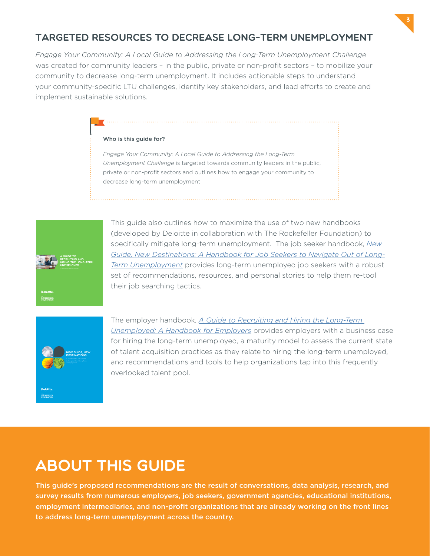## Targeted Resources to Decrease Long-Term Unemployment

*Engage Your Community: A Local Guide to Addressing the Long-Term Unemployment Challenge*  was created for community leaders – in the public, private or non-profit sectors – to mobilize your community to decrease long-term unemployment. It includes actionable steps to understand your community-specific LTU challenges, identify key stakeholders, and lead efforts to create and implement sustainable solutions.

#### Who is this guide for?

*Engage Your Community: A Local Guide to Addressing the Long-Term Unemployment Challenge* is targeted towards community leaders in the public, private or non-profit sectors and outlines how to engage your community to decrease long-term unemployment



This guide also outlines how to maximize the use of two new handbooks (developed by Deloitte in collaboration with The Rockefeller Foundation) to specifically mitigate long-term unemployment. The job seeker handbook, *[New](https://www.deloitte.com/view/en_US/us/About/social-impact/540aa1db85f58410VgnVCM3000003456f70aRCRD.htm)  [Guide, New Destinations: A Handbook for Job Seekers to Navigate Out of Long-](https://www.deloitte.com/view/en_US/us/About/social-impact/540aa1db85f58410VgnVCM3000003456f70aRCRD.htm)[Term Unemployment](https://www.deloitte.com/view/en_US/us/About/social-impact/540aa1db85f58410VgnVCM3000003456f70aRCRD.htm)* provides long-term unemployed job seekers with a robust set of recommendations, resources, and personal stories to help them re-tool their job searching tactics.



**Deloitte** 

The employer handbook, *[A Guide to Recruiting and Hiring the Long-Term](https://www.deloitte.com/view/en_US/us/About/social-impact/540aa1db85f58410VgnVCM3000003456f70aRCRD.htm)  [Unemployed: A Handbook for Employers](https://www.deloitte.com/view/en_US/us/About/social-impact/540aa1db85f58410VgnVCM3000003456f70aRCRD.htm)* provides employers with a business case for hiring the long-term unemployed, a maturity model to assess the current state of talent acquisition practices as they relate to hiring the long-term unemployed, and recommendations and tools to help organizations tap into this frequently overlooked talent pool.

## **ABOUT THIS GUIDE**

This guide's proposed recommendations are the result of conversations, data analysis, research, and survey results from numerous employers, job seekers, government agencies, educational institutions, employment intermediaries, and non-profit organizations that are already working on the front lines to address long-term unemployment across the country.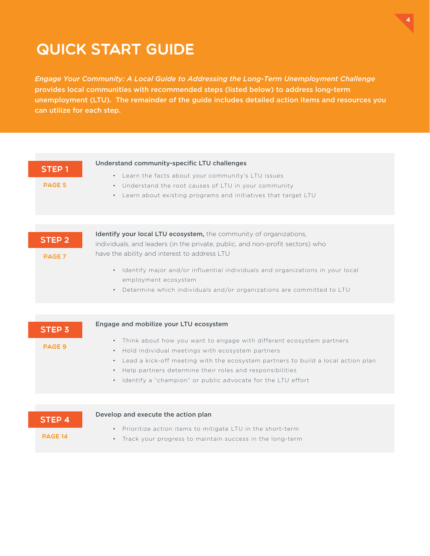# Quick Start Guide

*Engage Your Community: A Local Guide to Addressing the Long-Term Unemployment Challenge* provides local communities with recommended steps (listed below) to address long-term unemployment (LTU). The remainder of the guide includes detailed action items and resources you can utilize for each step.

| <b>STEP1</b><br><b>PAGE 5</b>   | Understand community-specific LTU challenges<br>• Learn the facts about your community's LTU issues<br>• Understand the root causes of LTU in your community<br>• Learn about existing programs and initiatives that target LTU                                                                                                                              |
|---------------------------------|--------------------------------------------------------------------------------------------------------------------------------------------------------------------------------------------------------------------------------------------------------------------------------------------------------------------------------------------------------------|
|                                 | Identify your local LTU ecosystem, the community of organizations,                                                                                                                                                                                                                                                                                           |
| <b>STEP 2</b><br><b>PAGE 7</b>  | individuals, and leaders (in the private, public, and non-profit sectors) who<br>have the ability and interest to address LTU<br>• Identify major and/or influential individuals and organizations in your local<br>employment ecosystem<br>Determine which individuals and/or organizations are committed to LTU<br>$\bullet$                               |
|                                 |                                                                                                                                                                                                                                                                                                                                                              |
| <b>STEP 3</b>                   | Engage and mobilize your LTU ecosystem                                                                                                                                                                                                                                                                                                                       |
| <b>PAGE 9</b>                   | • Think about how you want to engage with different ecosystem partners<br>Hold individual meetings with ecosystem partners<br>$\bullet$<br>• Lead a kick-off meeting with the ecosystem partners to build a local action plan<br>• Help partners determine their roles and responsibilities<br>• Identify a "champion" or public advocate for the LTU effort |
|                                 |                                                                                                                                                                                                                                                                                                                                                              |
| <b>STEP 4</b><br><b>PAGE 14</b> | Develop and execute the action plan<br>• Prioritize action items to mitigate LTU in the short-term<br>Track your progress to maintain success in the long-term<br>$\bullet$                                                                                                                                                                                  |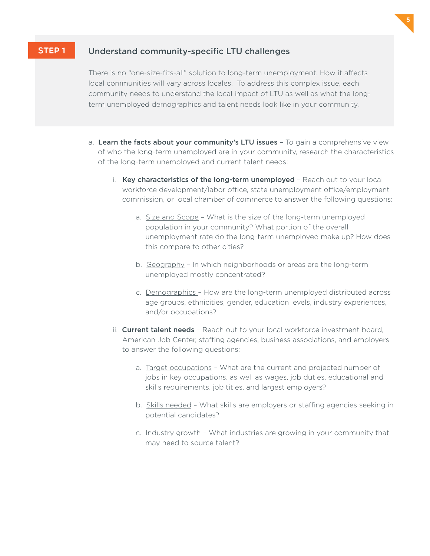### **STEP 1** Understand community-specific LTU challenges

There is no "one-size-fits-all" solution to long-term unemployment. How it affects local communities will vary across locales. To address this complex issue, each community needs to understand the local impact of LTU as well as what the longterm unemployed demographics and talent needs look like in your community.

- a. Learn the facts about your community's LTU issues To gain a comprehensive view of who the long-term unemployed are in your community, research the characteristics of the long-term unemployed and current talent needs:
	- i. Key characteristics of the long-term unemployed Reach out to your local workforce development/labor office, state unemployment office/employment commission, or local chamber of commerce to answer the following questions:
		- a. Size and Scope What is the size of the long-term unemployed population in your community? What portion of the overall unemployment rate do the long-term unemployed make up? How does this compare to other cities?
		- b. Geography In which neighborhoods or areas are the long-term unemployed mostly concentrated?
		- c. Demographics How are the long-term unemployed distributed across age groups, ethnicities, gender, education levels, industry experiences, and/or occupations?
	- ii. **Current talent needs** Reach out to your local workforce investment board, American Job Center, staffing agencies, business associations, and employers to answer the following questions:
		- a. Target occupations What are the current and projected number of jobs in key occupations, as well as wages, job duties, educational and skills requirements, job titles, and largest employers?
		- b. Skills needed What skills are employers or staffing agencies seeking in potential candidates?
		- c. Industry growth What industries are growing in your community that may need to source talent?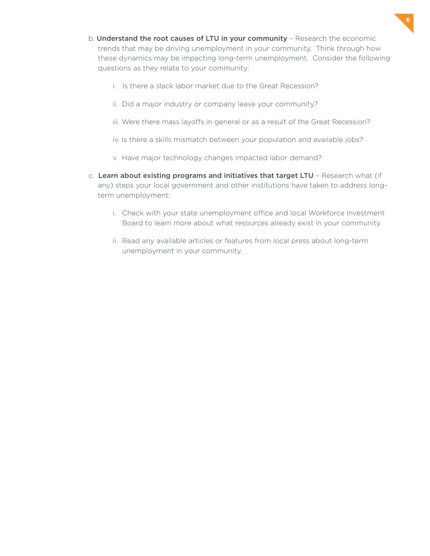- b. Understand the root causes of LTU in your community Research the economic trends that may be driving unemployment in your community. Think through how these dynamics may be impacting long-term unemployment. Consider the following questions as they relate to your community:
	- i. Is there a slack labor market due to the Great Recession?
	- ii. Did a major industry or company leave your community?
	- iii. Were there mass layoffs in general or as a result of the Great Recession?
	- iv. Is there a skills mismatch between your population and available jobs?
	- v. Have major technology changes impacted labor demand?
- c. Learn about existing programs and initiatives that target LTU Research what (if any) steps your local government and other institutions have taken to address longterm unemployment:
	- i. Check with your state unemployment office and local Workforce Investment Board to learn more about what resources already exist in your community.
	- ii. Read any available articles or features from local press about long-term unemployment in your community.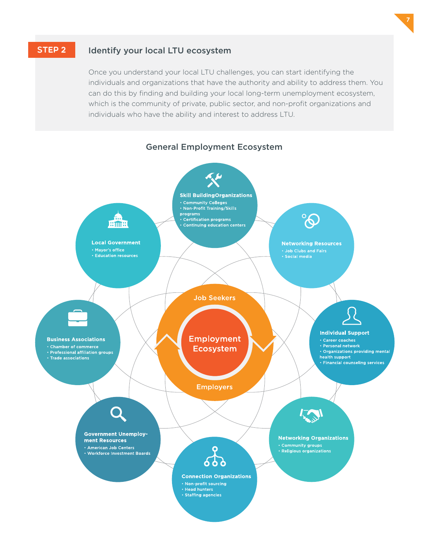#### Identify your local LTU ecosystem STEP 2

Once you understand your local LTU challenges, you can start identifying the individuals and organizations that have the authority and ability to address them. You can do this by finding and building your local long-term unemployment ecosystem, which is the community of private, public sector, and non-profit organizations and individuals who have the ability and interest to address LTU.

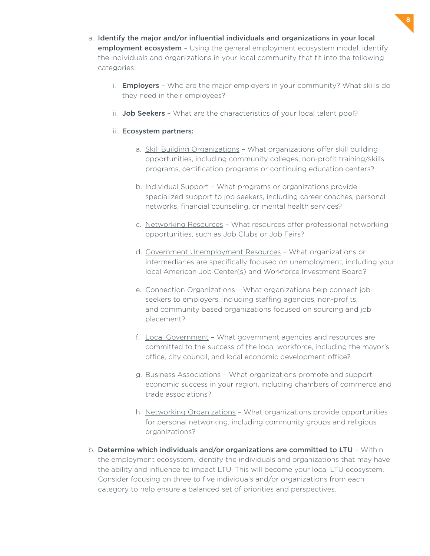- a. Identify the major and/or influential individuals and organizations in your local **employment ecosystem** - Using the general employment ecosystem model, identify the individuals and organizations in your local community that fit into the following categories:
	- i. Employers Who are the major employers in your community? What skills do they need in their employees?
	- ii. **Job Seekers** What are the characteristics of your local talent pool?

### iii. Ecosystem partners:

- a. Skill Building Organizations What organizations offer skill building opportunities, including community colleges, non-profit training/skills programs, certification programs or continuing education centers?
- b. Individual Support What programs or organizations provide specialized support to job seekers, including career coaches, personal networks, financial counseling, or mental health services?
- c. Networking Resources What resources offer professional networking opportunities, such as Job Clubs or Job Fairs?
- d. Government Unemployment Resources What organizations or intermediaries are specifically focused on unemployment, including your local American Job Center(s) and Workforce Investment Board?
- e. Connection Organizations What organizations help connect job seekers to employers, including staffing agencies, non-profits, and community based organizations focused on sourcing and job placement?
- f. Local Government What government agencies and resources are committed to the success of the local workforce, including the mayor's office, city council, and local economic development office?
- g. Business Associations What organizations promote and support economic success in your region, including chambers of commerce and trade associations?
- h. Networking Organizations What organizations provide opportunities for personal networking, including community groups and religious organizations?
- b. Determine which individuals and/or organizations are committed to LTU Within the employment ecosystem, identify the individuals and organizations that may have the ability and influence to impact LTU. This will become your local LTU ecosystem. Consider focusing on three to five individuals and/or organizations from each category to help ensure a balanced set of priorities and perspectives.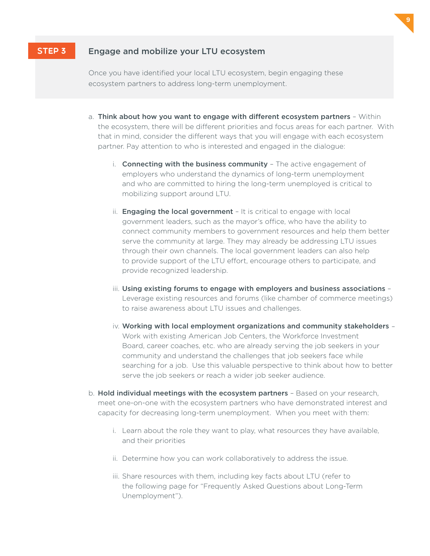## **STEP 3** Engage and mobilize your LTU ecosystem

Once you have identified your local LTU ecosystem, begin engaging these ecosystem partners to address long-term unemployment.

- a. Think about how you want to engage with different ecosystem partners Within the ecosystem, there will be different priorities and focus areas for each partner. With that in mind, consider the different ways that you will engage with each ecosystem partner. Pay attention to who is interested and engaged in the dialogue:
	- i. **Connecting with the business community** The active engagement of employers who understand the dynamics of long-term unemployment and who are committed to hiring the long-term unemployed is critical to mobilizing support around LTU.
	- ii. **Engaging the local government**  $-$  It is critical to engage with local government leaders, such as the mayor's office, who have the ability to connect community members to government resources and help them better serve the community at large. They may already be addressing LTU issues through their own channels. The local government leaders can also help to provide support of the LTU effort, encourage others to participate, and provide recognized leadership.
	- iii. Using existing forums to engage with employers and business associations Leverage existing resources and forums (like chamber of commerce meetings) to raise awareness about LTU issues and challenges.
	- iv. Working with local employment organizations and community stakeholders Work with existing American Job Centers, the Workforce Investment Board, career coaches, etc. who are already serving the job seekers in your community and understand the challenges that job seekers face while searching for a job. Use this valuable perspective to think about how to better serve the job seekers or reach a wider job seeker audience.
- b. Hold individual meetings with the ecosystem partners Based on your research, meet one-on-one with the ecosystem partners who have demonstrated interest and capacity for decreasing long-term unemployment. When you meet with them:
	- i. Learn about the role they want to play, what resources they have available, and their priorities
	- ii. Determine how you can work collaboratively to address the issue.
	- iii. Share resources with them, including key facts about LTU (refer to the following page for "Frequently Asked Questions about Long-Term Unemployment").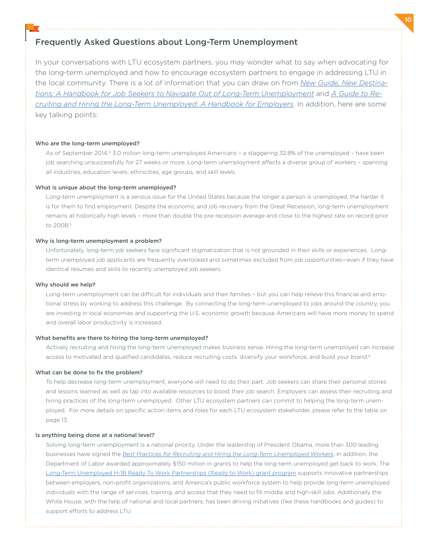### Frequently Asked Questions about Long-Term Unemployment

In your conversations with LTU ecosystem partners, you may wonder what to say when advocating for the long-term unemployed and how to encourage ecosystem partners to engage in addressing LTU in the local community. There is a lot of information that you can draw on from *[New Guide, New Destina](https://www.deloitte.com/view/en_US/us/About/social-impact/540aa1db85f58410VgnVCM3000003456f70aRCRD.htm)[tions: A Handbook for Job Seekers to Navigate Out of Long-Term Unemployment](https://www.deloitte.com/view/en_US/us/About/social-impact/540aa1db85f58410VgnVCM3000003456f70aRCRD.htm)* and *[A Guide to Re](https://www.deloitte.com/view/en_US/us/About/social-impact/540aa1db85f58410VgnVCM3000003456f70aRCRD.htm)[cruiting and Hiring the Long-Term Unemployed: A Handbook for Employers](https://www.deloitte.com/view/en_US/us/About/social-impact/540aa1db85f58410VgnVCM3000003456f70aRCRD.htm)*. In addition, here are some key talking points:

#### Who are the long-term unemployed?

As of September 2014,4 3.0 million long-term unemployed Americans – a staggering 32.8% of the unemployed – have been job searching unsuccessfully for 27 weeks or more. Long-term unemployment affects a diverse group of workers – spanning all industries, education levels, ethnicities, age groups, and skill levels.

#### What is unique about the long-term unemployed?

Long-term unemployment is a serious issue for the United States because the longer a person is unemployed, the harder it is for them to find employment. Despite the economic and job recovery from the Great Recession, long-term unemployment remains at historically high levels – more than double the pre-recession average and close to the highest rate on record prior to 2008.5

#### Why is long-term unemployment a problem?

Unfortunately, long-term job seekers face significant stigmatization that is not grounded in their skills or experiences. Longterm unemployed job applicants are frequently overlooked and sometimes excluded from job opportunities—even if they have identical resumes and skills to recently unemployed job seekers.

#### Why should we help?

Long-term unemployment can be difficult for individuals and their families – but you can help relieve this financial and emotional stress by working to address this challenge. By connecting the long-term unemployed to jobs around the country, you are investing in local economies and supporting the U.S. economic growth because Americans will have more money to spend and overall labor productivity is increased.

#### What benefits are there to hiring the long-term unemployed?

Actively recruiting and hiring the long-term unemployed makes business sense. Hiring the long-term unemployed can increase access to motivated and qualified candidates, reduce recruiting costs, diversify your workforce, and build your brand.<sup>6</sup>

#### What can be done to fix the problem?

To help decrease long-term unemployment, everyone will need to do their part. Job seekers can share their personal stories and lessons learned as well as tap into available resources to boost their job search. Employers can assess their recruiting and hiring practices of the long-term unemployed. Other LTU ecosystem partners can commit to helping the long-term unemployed. For more details on specific action items and roles for each LTU ecosystem stakeholder, please refer to the table on page 13.

#### Is anything being done at a national level?

Solving long-term unemployment is a national priority. Under the leadership of President Obama, more than 300 leading businesses have signed the *[Best Practices for Recruiting and Hiring the Long-Term Unemployed Workers](http://www.whitehouse.gov/sites/default/files/docs/best_practices_recruiting_longterm_unemployed.pdf)*. In addition, the Department of Labor awarded approximately \$150 million in grants to help the long-term unemployed get back to work. The [Long-Term Unemployed H-1B Ready To Work Partnerships \(Ready to Work\) grant program](http://doleta.gov/readytowork/) supports innovative partnerships between employers, non-profit organizations, and America's public workforce system to help provide long-term unemployed individuals with the range of services, training, and access that they need to fill middle and high-skill jobs. Additionally the White House, with the help of national and local partners, has been driving initiatives (like these handbooks and guides) to support efforts to address LTU.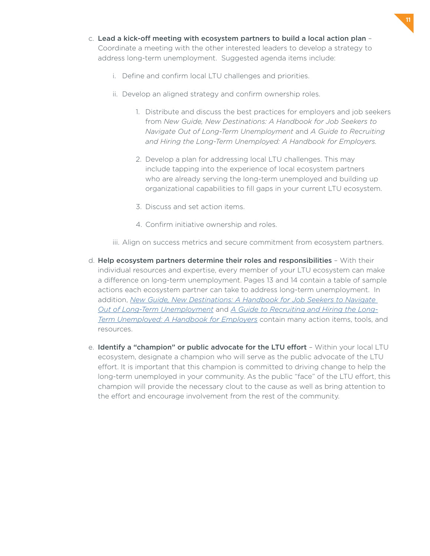- c. Lead a kick-off meeting with ecosystem partners to build a local action plan Coordinate a meeting with the other interested leaders to develop a strategy to address long-term unemployment. Suggested agenda items include:
	- i. Define and confirm local LTU challenges and priorities.
	- ii. Develop an aligned strategy and confirm ownership roles.
		- 1. Distribute and discuss the best practices for employers and job seekers from *New Guide, New Destinations: A Handbook for Job Seekers to Navigate Out of Long-Term Unemployment* and *A Guide to Recruiting and Hiring the Long-Term Unemployed: A Handbook for Employers.*
		- 2. Develop a plan for addressing local LTU challenges. This may include tapping into the experience of local ecosystem partners who are already serving the long-term unemployed and building up organizational capabilities to fill gaps in your current LTU ecosystem.
		- 3. Discuss and set action items.
		- 4. Confirm initiative ownership and roles.
	- iii. Align on success metrics and secure commitment from ecosystem partners.
- d. Help ecosystem partners determine their roles and responsibilities With their individual resources and expertise, every member of your LTU ecosystem can make a difference on long-term unemployment. Pages 13 and 14 contain a table of sample actions each ecosystem partner can take to address long-term unemployment. In addition, *[New Guide, New Destinations: A Handbook for Job Seekers to Navigate](https://www.deloitte.com/view/en_US/us/About/social-impact/540aa1db85f58410VgnVCM3000003456f70aRCRD.htm)  [Out of Long-Term Unemployment](https://www.deloitte.com/view/en_US/us/About/social-impact/540aa1db85f58410VgnVCM3000003456f70aRCRD.htm)* and *[A Guide to Recruiting and Hiring the Long-](https://www.deloitte.com/view/en_US/us/About/social-impact/540aa1db85f58410VgnVCM3000003456f70aRCRD.htm)[Term Unemployed: A Handbook for Employers](https://www.deloitte.com/view/en_US/us/About/social-impact/540aa1db85f58410VgnVCM3000003456f70aRCRD.htm)* contain many action items, tools, and resources.
- e. Identify a "champion" or public advocate for the LTU effort Within your local LTU ecosystem, designate a champion who will serve as the public advocate of the LTU effort. It is important that this champion is committed to driving change to help the long-term unemployed in your community. As the public "face" of the LTU effort, this champion will provide the necessary clout to the cause as well as bring attention to the effort and encourage involvement from the rest of the community.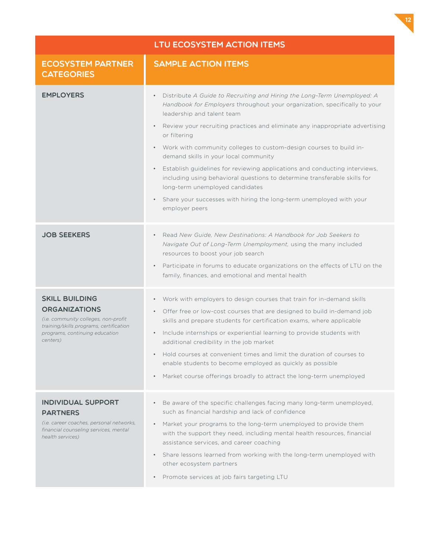|                                                                                                                                                                                | LTU ECOSYSTEM ACTION ITEMS                                                                                                                                                                                                                                                                                                                                                                                                                                                                                                                                                                                                                                                                                                                                |
|--------------------------------------------------------------------------------------------------------------------------------------------------------------------------------|-----------------------------------------------------------------------------------------------------------------------------------------------------------------------------------------------------------------------------------------------------------------------------------------------------------------------------------------------------------------------------------------------------------------------------------------------------------------------------------------------------------------------------------------------------------------------------------------------------------------------------------------------------------------------------------------------------------------------------------------------------------|
| <b>ECOSYSTEM PARTNER</b><br><b>CATEGORIES</b>                                                                                                                                  | <b>SAMPLE ACTION ITEMS</b>                                                                                                                                                                                                                                                                                                                                                                                                                                                                                                                                                                                                                                                                                                                                |
| <b>EMPLOYERS</b>                                                                                                                                                               | Distribute A Guide to Recruiting and Hiring the Long-Term Unemployed: A<br>$\bullet$<br>Handbook for Employers throughout your organization, specifically to your<br>leadership and talent team<br>Review your recruiting practices and eliminate any inappropriate advertising<br>$\bullet$<br>or filtering<br>Work with community colleges to custom-design courses to build in-<br>$\bullet$<br>demand skills in your local community<br>Establish guidelines for reviewing applications and conducting interviews,<br>$\bullet$<br>including using behavioral questions to determine transferable skills for<br>long-term unemployed candidates<br>Share your successes with hiring the long-term unemployed with your<br>$\bullet$<br>employer peers |
| <b>JOB SEEKERS</b>                                                                                                                                                             | Read New Guide, New Destinations: A Handbook for Job Seekers to<br>$\bullet$<br>Navigate Out of Long-Term Unemployment, using the many included<br>resources to boost your job search<br>Participate in forums to educate organizations on the effects of LTU on the<br>$\bullet$<br>family, finances, and emotional and mental health                                                                                                                                                                                                                                                                                                                                                                                                                    |
| <b>SKILL BUILDING</b><br><b>ORGANIZATIONS</b><br>(i.e. community colleges, non-profit<br>training/skills programs, certification<br>programs, continuing education<br>centers) | Work with employers to design courses that train for in-demand skills<br>$\bullet$<br>Offer free or low-cost courses that are designed to build in-demand job<br>$\bullet$<br>skills and prepare students for certification exams, where applicable<br>Include internships or experiential learning to provide students with<br>$\bullet$<br>additional credibility in the job market<br>Hold courses at convenient times and limit the duration of courses to<br>$\bullet$<br>enable students to become employed as quickly as possible<br>Market course offerings broadly to attract the long-term unemployed<br>$\bullet$                                                                                                                              |
| <b>INDIVIDUAL SUPPORT</b><br><b>PARTNERS</b><br>(i.e. career coaches, personal networks,<br>financial counseling services, mental<br>health services)                          | Be aware of the specific challenges facing many long-term unemployed,<br>$\bullet$<br>such as financial hardship and lack of confidence<br>Market your programs to the long-term unemployed to provide them<br>$\bullet$<br>with the support they need, including mental health resources, financial<br>assistance services, and career coaching<br>Share lessons learned from working with the long-term unemployed with<br>$\bullet$<br>other ecosystem partners<br>Promote services at job fairs targeting LTU<br>$\bullet$                                                                                                                                                                                                                            |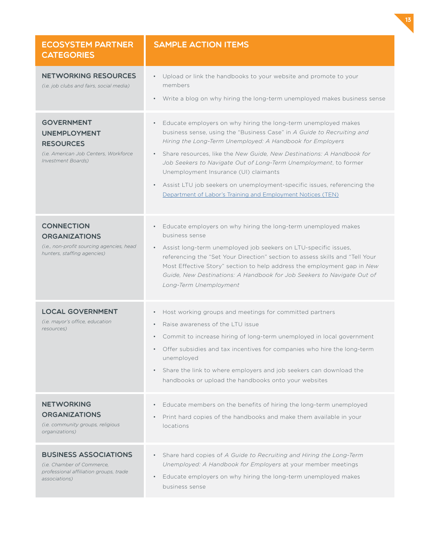| <b>ECOSYSTEM PARTNER</b><br><b>CATEGORIES</b>                                                                               | <b>SAMPLE ACTION ITEMS</b>                                                                                                                                                                                                                                                                                                                                                                                                                                                                                                                                                   |
|-----------------------------------------------------------------------------------------------------------------------------|------------------------------------------------------------------------------------------------------------------------------------------------------------------------------------------------------------------------------------------------------------------------------------------------------------------------------------------------------------------------------------------------------------------------------------------------------------------------------------------------------------------------------------------------------------------------------|
| <b>NETWORKING RESOURCES</b><br>(i.e. job clubs and fairs, social media)                                                     | Upload or link the handbooks to your website and promote to your<br>$\bullet$<br>members<br>Write a blog on why hiring the long-term unemployed makes business sense<br>$\bullet$                                                                                                                                                                                                                                                                                                                                                                                            |
| <b>GOVERNMENT</b><br><b>UNEMPLOYMENT</b><br><b>RESOURCES</b><br>(i.e. American Job Centers, Workforce<br>Investment Boards) | Educate employers on why hiring the long-term unemployed makes<br>$\bullet$<br>business sense, using the "Business Case" in A Guide to Recruiting and<br>Hiring the Long-Term Unemployed: A Handbook for Employers<br>Share resources, like the New Guide, New Destinations: A Handbook for<br>$\bullet$<br>Job Seekers to Navigate Out of Long-Term Unemployment, to former<br>Unemployment Insurance (UI) claimants<br>Assist LTU job seekers on unemployment-specific issues, referencing the<br>$\bullet$<br>Department of Labor's Training and Employment Notices (TEN) |
| <b>CONNECTION</b><br><b>ORGANIZATIONS</b><br>(i.e., non-profit sourcing agencies, head<br>hunters, staffing agencies)       | Educate employers on why hiring the long-term unemployed makes<br>$\bullet$<br>business sense<br>Assist long-term unemployed job seekers on LTU-specific issues,<br>$\bullet$<br>referencing the "Set Your Direction" section to assess skills and "Tell Your<br>Most Effective Story" section to help address the employment gap in New<br>Guide, New Destinations: A Handbook for Job Seekers to Navigate Out of<br>Long-Term Unemployment                                                                                                                                 |
| <b>LOCAL GOVERNMENT</b><br>(i.e. mayor's office, education<br>resources)                                                    | Host working groups and meetings for committed partners<br>$\bullet$<br>Raise awareness of the LTU issue<br>$\bullet$<br>Commit to increase hiring of long-term unemployed in local government<br>$\bullet$<br>Offer subsidies and tax incentives for companies who hire the long-term<br>unemployed<br>Share the link to where employers and job seekers can download the<br>$\bullet$<br>handbooks or upload the handbooks onto your websites                                                                                                                              |
| <b>NETWORKING</b><br><b>ORGANIZATIONS</b><br>(i.e. community groups, religious<br>organizations)                            | Educate members on the benefits of hiring the long-term unemployed<br>$\bullet$<br>Print hard copies of the handbooks and make them available in your<br>$\bullet$<br>locations                                                                                                                                                                                                                                                                                                                                                                                              |
| <b>BUSINESS ASSOCIATIONS</b><br>(i.e. Chamber of Commerce,<br>professional affiliation groups, trade<br>associations)       | Share hard copies of A Guide to Recruiting and Hiring the Long-Term<br>$\bullet$<br>Unemployed: A Handbook for Employers at your member meetings<br>Educate employers on why hiring the long-term unemployed makes<br>$\bullet$<br>business sense                                                                                                                                                                                                                                                                                                                            |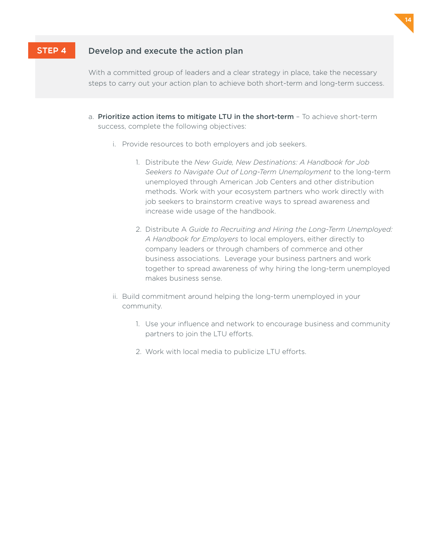### **STEP 4** Develop and execute the action plan

With a committed group of leaders and a clear strategy in place, take the necessary steps to carry out your action plan to achieve both short-term and long-term success.

- a. Prioritize action items to mitigate LTU in the short-term To achieve short-term success, complete the following objectives:
	- i. Provide resources to both employers and job seekers.
		- 1. Distribute the *New Guide, New Destinations: A Handbook for Job Seekers to Navigate Out of Long-Term Unemployment* to the long-term unemployed through American Job Centers and other distribution methods. Work with your ecosystem partners who work directly with job seekers to brainstorm creative ways to spread awareness and increase wide usage of the handbook.

- 2. Distribute A *Guide to Recruiting and Hiring the Long-Term Unemployed: A Handbook for Employers* to local employers, either directly to company leaders or through chambers of commerce and other business associations. Leverage your business partners and work together to spread awareness of why hiring the long-term unemployed makes business sense.
- ii. Build commitment around helping the long-term unemployed in your community.
	- 1. Use your influence and network to encourage business and community partners to join the LTU efforts.
	- 2. Work with local media to publicize LTU efforts.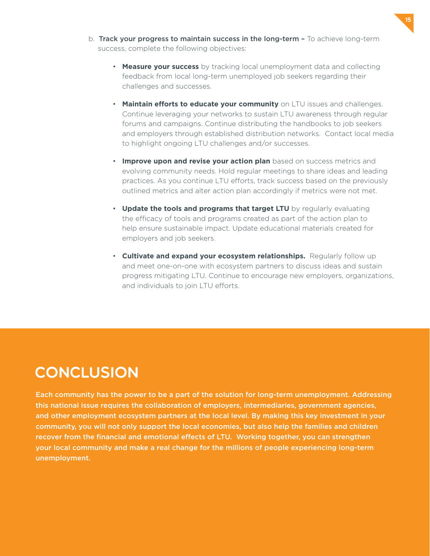- b. Track your progress to maintain success in the long-term To achieve long-term success, complete the following objectives:
	- **Measure your success** by tracking local unemployment data and collecting feedback from local long-term unemployed job seekers regarding their challenges and successes.
	- **Maintain efforts to educate your community** on LTU issues and challenges. Continue leveraging your networks to sustain LTU awareness through regular forums and campaigns. Continue distributing the handbooks to job seekers and employers through established distribution networks. Contact local media to highlight ongoing LTU challenges and/or successes.
	- **Improve upon and revise your action plan** based on success metrics and evolving community needs. Hold regular meetings to share ideas and leading practices. As you continue LTU efforts, track success based on the previously outlined metrics and alter action plan accordingly if metrics were not met.
	- **Update the tools and programs that target LTU** by regularly evaluating the efficacy of tools and programs created as part of the action plan to help ensure sustainable impact. Update educational materials created for employers and job seekers.
	- **Cultivate and expand your ecosystem relationships.** Regularly follow up and meet one-on-one with ecosystem partners to discuss ideas and sustain progress mitigating LTU. Continue to encourage new employers, organizations, and individuals to join LTU efforts.

# **CONCLUSION**

Each community has the power to be a part of the solution for long-term unemployment. Addressing this national issue requires the collaboration of employers, intermediaries, government agencies, and other employment ecosystem partners at the local level. By making this key investment in your community, you will not only support the local economies, but also help the families and children recover from the financial and emotional effects of LTU. Working together, you can strengthen your local community and make a real change for the millions of people experiencing long-term unemployment.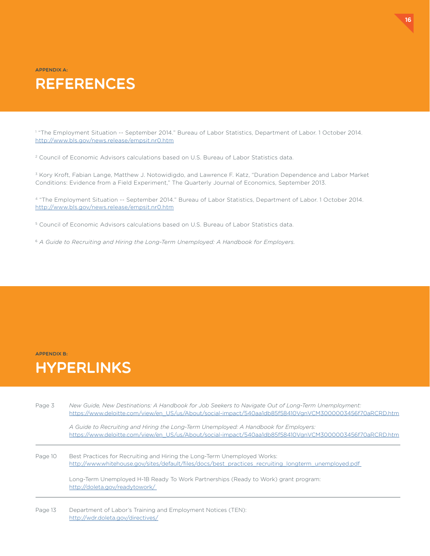appendix a:

# **REFERENCES**

1 "The Employment Situation -- September 2014." Bureau of Labor Statistics, Department of Labor. 1 October 2014. [http://www.bls.gov/news.release/empsit.nr0.htm](www.bls.gov/news.release/empsit.nr0.htm)

2 Council of Economic Advisors calculations based on U.S. Bureau of Labor Statistics data.

3 Kory Kroft, Fabian Lange, Matthew J. Notowidigdo, and Lawrence F. Katz, "Duration Dependence and Labor Market Conditions: Evidence from a Field Experiment," The Quarterly Journal of Economics, September 2013.

4 "The Employment Situation -- September 2014." Bureau of Labor Statistics, Department of Labor. 1 October 2014. <http://www.bls.gov/news.release/empsit.nr0.htm>

5 Council of Economic Advisors calculations based on U.S. Bureau of Labor Statistics data.

<sup>6</sup> *A Guide to Recruiting and Hiring the Long-Term Unemployed: A Handbook for Employers.*

appendix b:

## Hyperlinks

| Page 3  | New Guide, New Destinations: A Handbook for Job Seekers to Navigate Out of Long-Term Unemployment:<br>https://www.deloitte.com/view/en_US/us/About/social-impact/540aa1db85f58410VgnVCM3000003456f70aRCRD.htm |  |  |
|---------|---------------------------------------------------------------------------------------------------------------------------------------------------------------------------------------------------------------|--|--|
|         | A Guide to Recruiting and Hiring the Long-Term Unemployed: A Handbook for Employers:<br>https://www.deloitte.com/view/en_US/us/About/social-impact/540aa1db85f58410VgnVCM3000003456f70aRCRD.htm               |  |  |
| Page 10 | Best Practices for Recruiting and Hiring the Long-Term Unemployed Works:<br>http://www.whitehouse.gov/sites/default/files/docs/best_practices_recruiting_longterm_unemployed.pdf                              |  |  |
|         | Long-Term Unemployed H-1B Ready To Work Partnerships (Ready to Work) grant program:<br>http://doleta.gov/readytowork/                                                                                         |  |  |
| Page 13 | Department of Labor's Training and Employment Notices (TEN):<br>http://wdr.doleta.gov/directives/                                                                                                             |  |  |